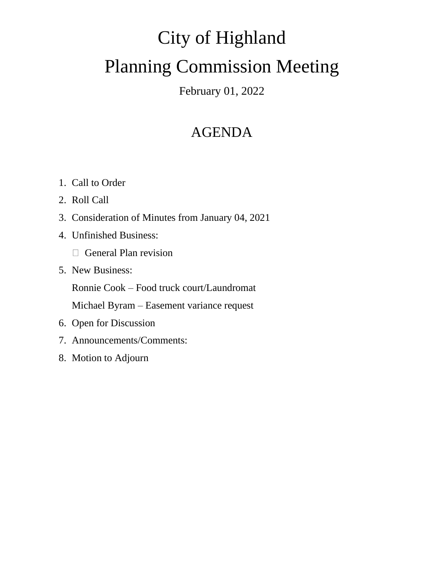# City of Highland Planning Commission Meeting

February 01, 2022

## AGENDA

- 1. Call to Order
- 2. Roll Call
- 3. Consideration of Minutes from January 04, 2021
- 4. Unfinished Business:
	- □ General Plan revision
- 5. New Business:

Ronnie Cook – Food truck court/Laundromat

Michael Byram – Easement variance request

- 6. Open for Discussion
- 7. Announcements/Comments:
- 8. Motion to Adjourn